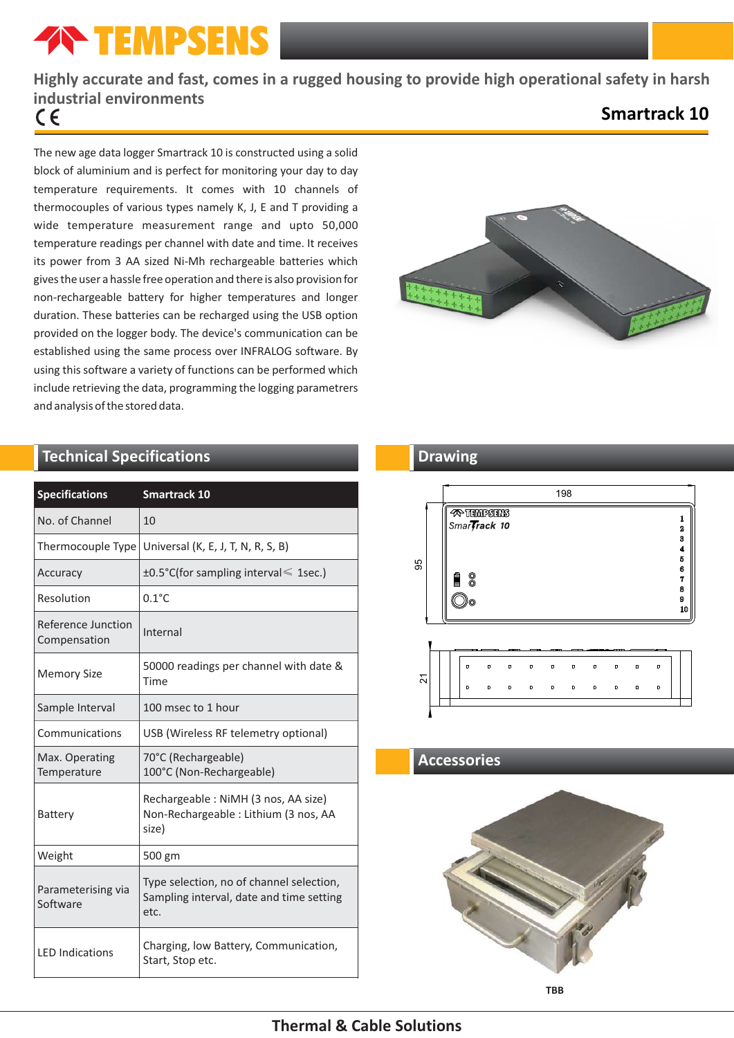# **TEMPSENS**

## **Highly accurate and fast, comes in a rugged housing to provide high operational safety in harsh industrial environments**

## **Smartrack 10**

The new age data logger Smartrack 10 is constructed using a solid block of aluminium and is perfect for monitoring your day to day temperature requirements. It comes with 10 channels of thermocouples of various types namely K, J, E and T providing a wide temperature measurement range and upto 50,000 temperature readings per channel with date and time. It receives its power from 3 AA sized Ni-Mh rechargeable batteries which gives the user a hassle free operation and there is also provision for non-rechargeable battery for higher temperatures and longer duration. These batteries can be recharged using the USB option provided on the logger body. The device's communication can be established using the same process over INFRALOG software. By using this software a variety of functions can be performed which include retrieving the data, programming the logging parametrers and analysis of the stored data.

## **Technical Specifications**

| <b>Specifications</b>              | <b>Smartrack 10</b>                                                                          |  |  |
|------------------------------------|----------------------------------------------------------------------------------------------|--|--|
| No. of Channel                     | 10                                                                                           |  |  |
| Thermocouple Type                  | Universal (K, E, J, T, N, R, S, B)                                                           |  |  |
| Accuracy                           | ±0.5°C(for sampling interval ≤ 1sec.)                                                        |  |  |
| Resolution                         | $0.1^{\circ}$ C                                                                              |  |  |
| Reference Junction<br>Compensation | Internal                                                                                     |  |  |
| <b>Memory Size</b>                 | 50000 readings per channel with date &<br>Time                                               |  |  |
| Sample Interval                    | 100 msec to 1 hour                                                                           |  |  |
| Communications                     | USB (Wireless RF telemetry optional)                                                         |  |  |
| Max. Operating<br>Temperature      | 70°C (Rechargeable)<br>100°C (Non-Rechargeable)                                              |  |  |
| Battery                            | Rechargeable: NiMH (3 nos, AA size)<br>Non-Rechargeable: Lithium (3 nos, AA<br>size)         |  |  |
| Weight                             | 500 gm                                                                                       |  |  |
| Parameterising via<br>Software     | Type selection, no of channel selection,<br>Sampling interval, date and time setting<br>etc. |  |  |
| <b>LED Indications</b>             | Charging, low Battery, Communication,<br>Start, Stop etc.                                    |  |  |



## **Drawing**



## **Accessories**



## **Thermal & Cable Solutions**